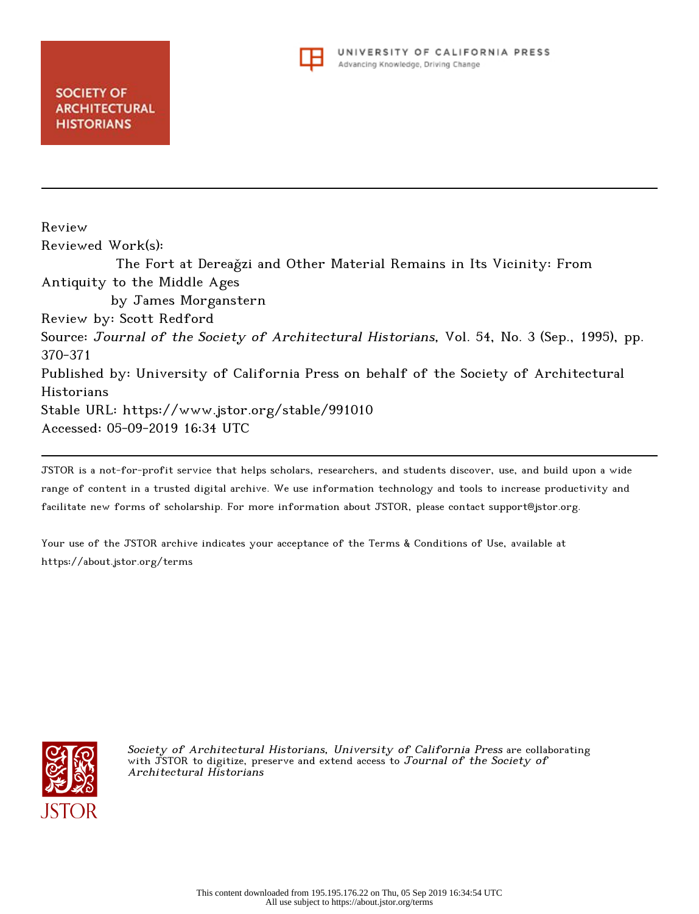

Review Reviewed Work(s): The Fort at Dereaǧzi and Other Material Remains in Its Vicinity: From Antiquity to the Middle Ages by James Morganstern Review by: Scott Redford Source: Journal of the Society of Architectural Historians, Vol. 54, No. 3 (Sep., 1995), pp. 370-371 Published by: University of California Press on behalf of the Society of Architectural Historians Stable URL: https://www.jstor.org/stable/991010 Accessed: 05-09-2019 16:34 UTC

JSTOR is a not-for-profit service that helps scholars, researchers, and students discover, use, and build upon a wide range of content in a trusted digital archive. We use information technology and tools to increase productivity and facilitate new forms of scholarship. For more information about JSTOR, please contact support@jstor.org.

Your use of the JSTOR archive indicates your acceptance of the Terms & Conditions of Use, available at https://about.jstor.org/terms



Society of Architectural Historians, University of California Press are collaborating with JSTOR to digitize, preserve and extend access to Journal of the Society of Architectural Historians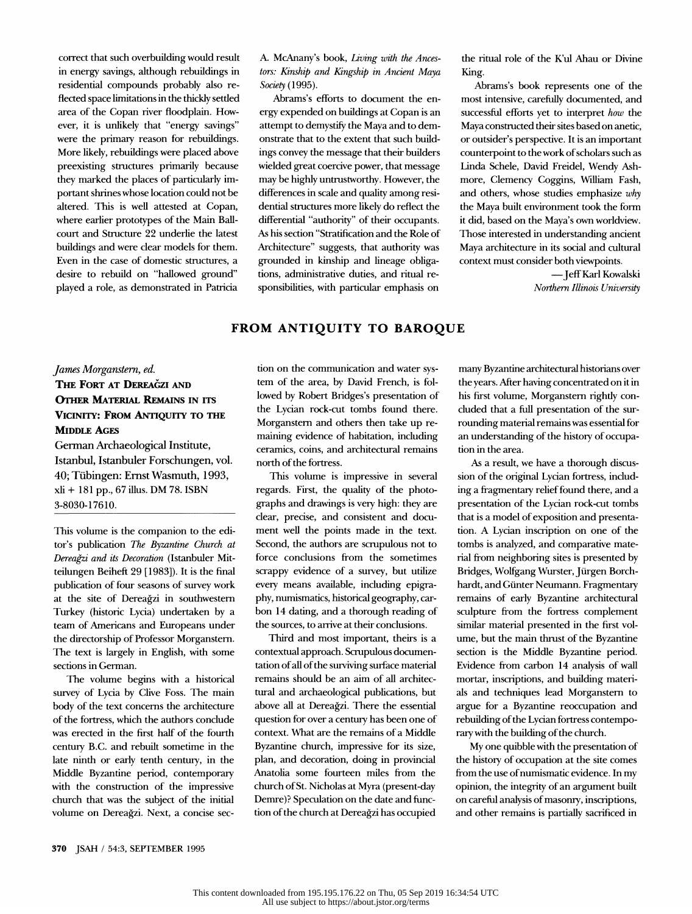correct that such overbuilding would result in energy savings, although rebuildings in residential compounds probably also re flected space limitations in the thickly settled area of the Copan river floodplain. How ever, it is unlikely that "energy savings" were the primary reason for rebuildings. More likely, rebuildings were placed above preexisting structures primarily because they marked the places of particularly im portant shrines whose location could not be altered. This is well attested at Copan, where earlier prototypes of the Main Ball court and Structure 22 underlie the latest buildings and were clear models for them. Even in the case of domestic structures, a desire to rebuild on "hallowed ground" played a role, as demonstrated in Patricia

 A. McAnany's book, Living with the Ances tors: Kinship and Kingship in Ancient Maya Society (1995).

 Abrams's efforts to document the en ergy expended on buildings at Copan is an attempt to demystify the Maya and to dem onstrate that to the extent that such build ings convey the message that their builders wielded great coercive power, that message may be highly untrustworthy. However, the differences in scale and quality among resi dential structures more likely do reflect the differential "authority" of their occupants. As his section "Stratification and the Role of Architecture" suggests, that authority was grounded in kinship and lineage obliga tions, administrative duties, and ritual re sponsibilities, with particular emphasis on

 the ritual role of the K'ul Ahau or Divine King.

 Abrams's book represents one of the most intensive, carefully documented, and successful efforts yet to interpret how the Maya constructed their sites based on anetic, or outsider's perspective. It is an important counterpoint to the work of scholars such as Linda Schele, David Freidel, Wendy Ash more, Clemency Coggins, William Fash, and others, whose studies emphasize why the Maya built environment took the form it did, based on the Maya's own worldview. Those interested in understanding ancient Maya architecture in its social and cultural context must consider both viewpoints.

> -Jeff Karl Kowalski Northern Illinois University

## FROM ANTIQUITY TO BAROQUE

## James Morganstern, ed. THE FORT AT DEREAĞZI AND OTHER MATERIAL REMAINS IN ITS VICINITY: FROM ANTIQUITY TO THE MIDDLE AGES

 German Archaeological Institute, Istanbul, Istanbuler Forschungen, vol. 40; Tiibingen: Ernst Wasmuth, 1993, xli + 181 pp., 67 illus. DM 78. ISBN 3-8030-17610.

 This volume is the companion to the edi tor's publication The Byzantine Church at Dereagzi and its Decoration (Istanbuler Mit teilungen Beiheft 29 [1983]). It is the final publication of four seasons of survey work at the site of Dereagzi in southwestern Turkey (historic Lycia) undertaken by a team of Americans and Europeans under the directorship of Professor Morganstern. The text is largely in English, with some sections in German.

 The volume begins with a historical survey of Lycia by Clive Foss. The main body of the text concerns the architecture of the fortress, which the authors conclude was erected in the first half of the fourth century B.C. and rebuilt sometime in the late ninth or early tenth century, in the Middle Byzantine period, contemporary with the construction of the impressive church that was the subject of the initial volume on Dereagzi. Next, a concise sec tion on the communication and water sys tem of the area, by David French, is fol lowed by Robert Bridges's presentation of the Lycian rock-cut tombs found there. Morganstern and others then take up re maining evidence of habitation, including ceramics, coins, and architectural remains north of the fortress.

 This volume is impressive in several regards. First, the quality of the photo graphs and drawings is very high: they are clear, precise, and consistent and docu ment well the points made in the text. Second, the authors are scrupulous not to force conclusions from the sometimes scrappy evidence of a survey, but utilize every means available, including epigra phy, numismatics, historical geography, car bon 14 dating, and a thorough reading of the sources, to arrive at their conclusions.

 Third and most important, theirs is a contextual approach. Scrupulous documen tation of all of the surviving surface material remains should be an aim of all architec tural and archaeological publications, but above all at Dereagzi. There the essential question for over a century has been one of context. What are the remains of a Middle Byzantine church, impressive for its size, plan, and decoration, doing in provincial Anatolia some fourteen miles from the church of St. Nicholas at Myra (present-day Demre)? Speculation on the date and func tion of the church at Dereagzi has occupied

 many Byzantine architectural historians over the years. After having concentrated on it in his first volume, Morganstern rightly con cluded that a full presentation of the sur rounding material remains was essential for an understanding of the history of occupa tion in the area.

 As a result, we have a thorough discus sion of the original Lycian fortress, includ ing a fragmentary relief found there, and a presentation of the Lycian rock-cut tombs that is a model of exposition and presenta tion. A Lycian inscription on one of the tombs is analyzed, and comparative mate rial from neighboring sites is presented by Bridges, Wolfgang Wurster, Jiirgen Borch hardt, and Giinter Neumann. Fragmentary remains of early Byzantine architectural sculpture from the fortress complement similar material presented in the first vol ume, but the main thrust of the Byzantine section is the Middle Byzantine period. Evidence from carbon 14 analysis of wall mortar, inscriptions, and building materi als and techniques lead Morganstern to argue for a Byzantine reoccupation and rebuilding of the Lycian fortress contempo rary with the building of the church.

 My one quibble with the presentation of the history of occupation at the site comes from the use of numismatic evidence. In my opinion, the integrity of an argument built on careful analysis of masonry, inscriptions, and other remains is partially sacrificed in